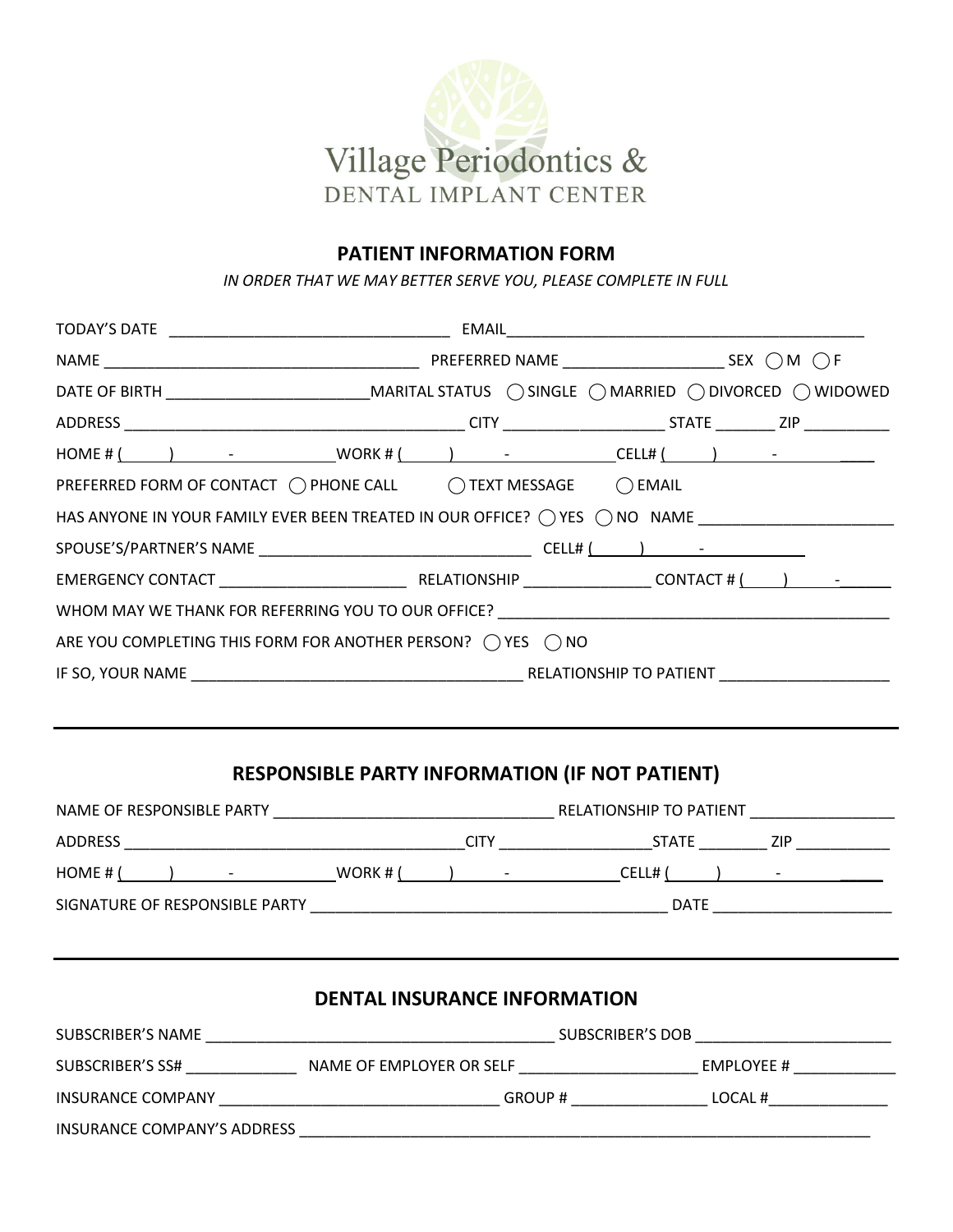

### **PATIENT INFORMATION FORM**

*IN ORDER THAT WE MAY BETTER SERVE YOU, PLEASE COMPLETE IN FULL* 

| DATE OF BIRTH ________________________________MARITAL STATUS ( ) SINGLE ( ) MARRIED ( ) DIVORCED ( ) WIDOWED |  |  |  |
|--------------------------------------------------------------------------------------------------------------|--|--|--|
|                                                                                                              |  |  |  |
| $HOME # ( )$ - WORK# $( )$ - CELL# $( )$ - CELL# $( )$ -                                                     |  |  |  |
| PREFERRED FORM OF CONTACT ( ) PHONE CALL ( ) TEXT MESSAGE ( ) EMAIL                                          |  |  |  |
| HAS ANYONE IN YOUR FAMILY EVER BEEN TREATED IN OUR OFFICE? ( ) YES ( ) NO NAME _____________________         |  |  |  |
|                                                                                                              |  |  |  |
|                                                                                                              |  |  |  |
|                                                                                                              |  |  |  |
| ARE YOU COMPLETING THIS FORM FOR ANOTHER PERSON? $\bigcap$ YES $\bigcap$ NO                                  |  |  |  |
|                                                                                                              |  |  |  |

# **RESPONSIBLE PARTY INFORMATION (IF NOT PATIENT)**

| NAME OF RESPONSIBLE PARTY        |            |                               | RELATIONSHIP TO PATIENT |            |
|----------------------------------|------------|-------------------------------|-------------------------|------------|
| ADDRESS                          |            | <b>CITY</b>                   | <b>STATE</b>            | ZIP        |
| HOME # (<br>and the state of the | WORK # $($ | and the state of the state of | CELL#                   | $\sim$ $-$ |
| SIGNATURE OF RESPONSIBLE PARTY   |            |                               | <b>DATE</b>             |            |
|                                  |            |                               |                         |            |

| <b>DENTAL INSURANCE INFORMATION</b> |                          |                         |  |
|-------------------------------------|--------------------------|-------------------------|--|
| SUBSCRIBER'S NAME                   |                          | <b>SUBSCRIBER'S DOB</b> |  |
| SUBSCRIBER'S SS#                    | NAME OF EMPLOYER OR SELF | EMPLOYEE #              |  |
| INSURANCE COMPANY                   | GROUP #                  | LOCAL#                  |  |
| INSURANCE COMPANY'S ADDRESS         |                          |                         |  |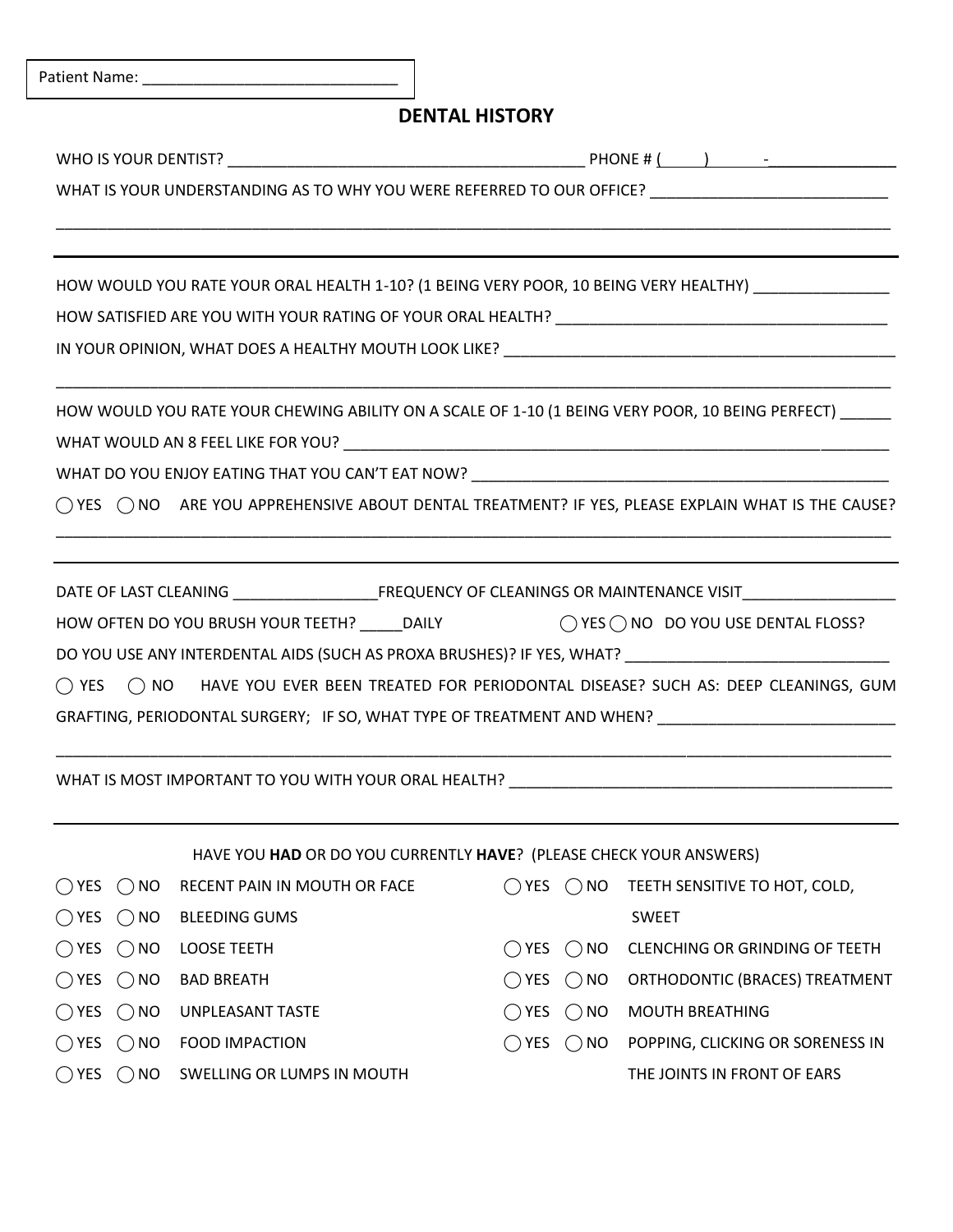|                                 |                                                                                                                | <b>DENTAL HISTORY</b>           |                                  |
|---------------------------------|----------------------------------------------------------------------------------------------------------------|---------------------------------|----------------------------------|
|                                 |                                                                                                                |                                 |                                  |
|                                 | WHAT IS YOUR UNDERSTANDING AS TO WHY YOU WERE REFERRED TO OUR OFFICE? _____________________________            |                                 |                                  |
|                                 | HOW WOULD YOU RATE YOUR ORAL HEALTH 1-10? (1 BEING VERY POOR, 10 BEING VERY HEALTHY) ______________            |                                 |                                  |
|                                 |                                                                                                                |                                 |                                  |
|                                 |                                                                                                                |                                 |                                  |
|                                 | HOW WOULD YOU RATE YOUR CHEWING ABILITY ON A SCALE OF 1-10 (1 BEING VERY POOR, 10 BEING PERFECT) ____          |                                 |                                  |
|                                 |                                                                                                                |                                 |                                  |
|                                 |                                                                                                                |                                 |                                  |
|                                 | ◯ YES ◯ NO ARE YOU APPREHENSIVE ABOUT DENTAL TREATMENT? IF YES, PLEASE EXPLAIN WHAT IS THE CAUSE?              |                                 |                                  |
|                                 |                                                                                                                |                                 |                                  |
|                                 | DATE OF LAST CLEANING ___________________________FREQUENCY OF CLEANINGS OR MAINTENANCE VISIT__________________ |                                 |                                  |
|                                 | HOW OFTEN DO YOU BRUSH YOUR TEETH? _____ DAILY $\bigcirc$ YES $\bigcirc$ NO DO YOU USE DENTAL FLOSS?           |                                 |                                  |
|                                 |                                                                                                                |                                 |                                  |
| $\bigcap$ YES                   | () NO HAVE YOU EVER BEEN TREATED FOR PERIODONTAL DISEASE? SUCH AS: DEEP CLEANINGS, GUM                         |                                 |                                  |
|                                 | GRAFTING, PERIODONTAL SURGERY; IF SO, WHAT TYPE OF TREATMENT AND WHEN? ____________________________            |                                 |                                  |
|                                 |                                                                                                                |                                 |                                  |
|                                 | WHAT IS MOST IMPORTANT TO YOU WITH YOUR ORAL HEALTH? Notified the substitution of the service of the service o |                                 |                                  |
|                                 | HAVE YOU HAD OR DO YOU CURRENTLY HAVE? (PLEASE CHECK YOUR ANSWERS)                                             |                                 |                                  |
| <b>NO</b><br>$()$ YES<br>$($ )  | RECENT PAIN IN MOUTH OR FACE                                                                                   | $\bigcap$ YES $\bigcap$ NO      | TEETH SENSITIVE TO HOT, COLD,    |
| $\bigcirc$ YES<br>$\bigcirc$ NO | <b>BLEEDING GUMS</b>                                                                                           |                                 | <b>SWEET</b>                     |
| $\bigcirc$ YES<br>$\bigcirc$ NO | <b>LOOSE TEETH</b>                                                                                             | $\bigcirc$ YES<br>$\bigcirc$ NO | CLENCHING OR GRINDING OF TEETH   |
| $\bigcirc$ YES<br>$\bigcirc$ NO | <b>BAD BREATH</b>                                                                                              | $\bigcirc$ YES<br>$\bigcirc$ NO | ORTHODONTIC (BRACES) TREATMENT   |
| $\bigcirc$ YES $\bigcirc$ NO    | UNPLEASANT TASTE                                                                                               | $\bigcirc$ NO<br>$\bigcirc$ YES | <b>MOUTH BREATHING</b>           |
| $\bigcirc$ YES<br>$\bigcirc$ NO | <b>FOOD IMPACTION</b>                                                                                          | $\bigcap$ YES $\bigcap$ NO      | POPPING, CLICKING OR SORENESS IN |
| $\bigcirc$ YES $\bigcirc$ NO    | SWELLING OR LUMPS IN MOUTH                                                                                     |                                 | THE JOINTS IN FRONT OF EARS      |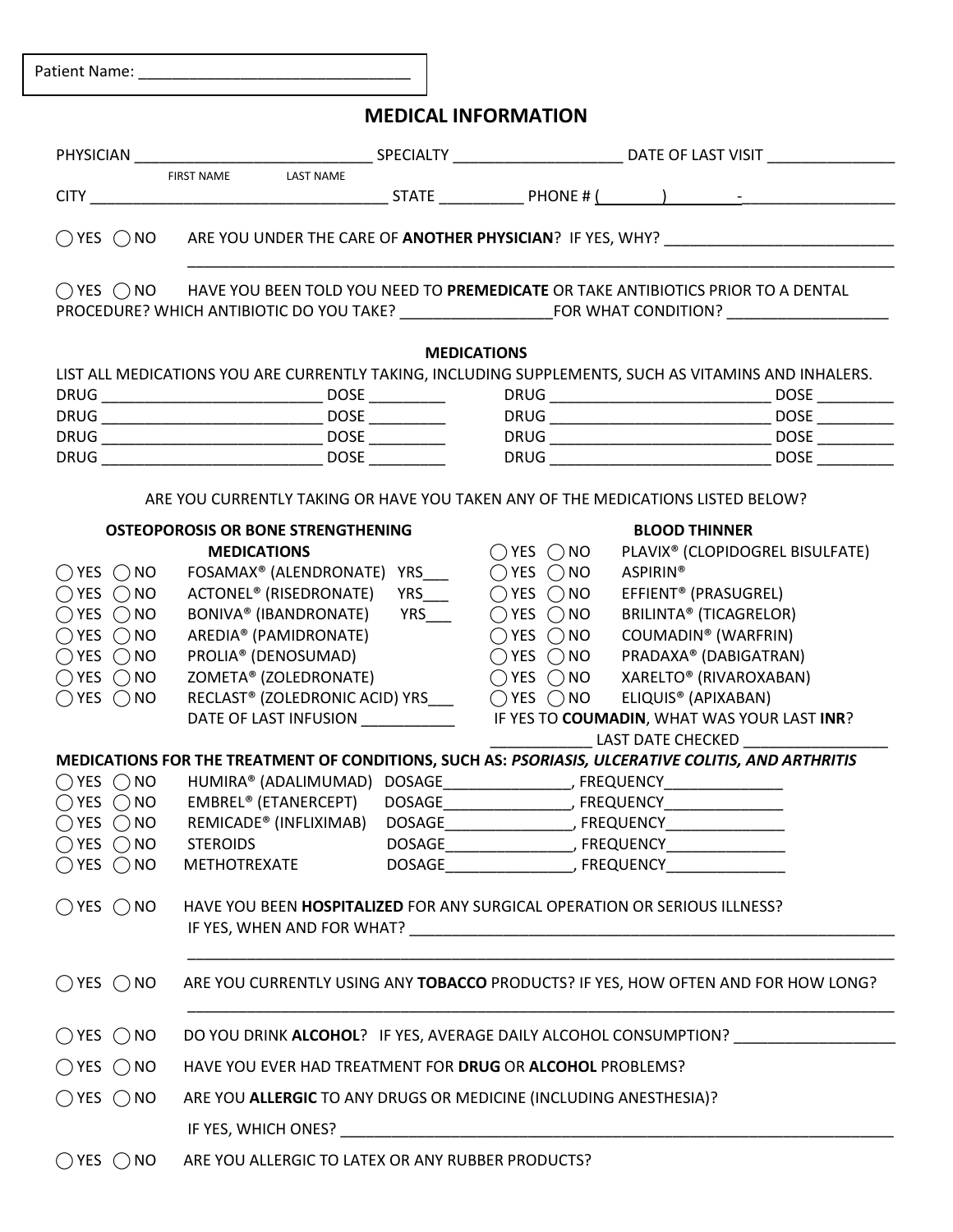Patient Name: \_\_\_\_\_\_\_\_\_\_\_\_\_\_\_\_\_\_\_\_\_\_\_\_\_\_\_\_\_\_\_\_

## **MEDICAL INFORMATION**

|                              | <b>LAST NAME</b><br>FIRST NAME                                                                       |                              |                                                                                   |                            |
|------------------------------|------------------------------------------------------------------------------------------------------|------------------------------|-----------------------------------------------------------------------------------|----------------------------|
| $\bigcirc$ YES $\bigcirc$ NO |                                                                                                      |                              | ARE YOU UNDER THE CARE OF ANOTHER PHYSICIAN? IF YES, WHY? _______________________ |                            |
| $\bigcap$ YES $\bigcap$ NO   |                                                                                                      |                              | HAVE YOU BEEN TOLD YOU NEED TO PREMEDICATE OR TAKE ANTIBIOTICS PRIOR TO A DENTAL  | $\vert \blacktriangledown$ |
|                              |                                                                                                      | <b>MEDICATIONS</b>           |                                                                                   |                            |
|                              | LIST ALL MEDICATIONS YOU ARE CURRENTLY TAKING, INCLUDING SUPPLEMENTS, SUCH AS VITAMINS AND INHALERS. |                              |                                                                                   |                            |
|                              |                                                                                                      |                              |                                                                                   |                            |
|                              |                                                                                                      |                              |                                                                                   |                            |
|                              |                                                                                                      |                              |                                                                                   |                            |
|                              |                                                                                                      |                              |                                                                                   |                            |
|                              | ARE YOU CURRENTLY TAKING OR HAVE YOU TAKEN ANY OF THE MEDICATIONS LISTED BELOW?                      |                              |                                                                                   |                            |
|                              | <b>OSTEOPOROSIS OR BONE STRENGTHENING</b>                                                            |                              | <b>BLOOD THINNER</b>                                                              |                            |
|                              | <b>MEDICATIONS</b>                                                                                   | $\bigcirc$ YES $\bigcirc$ NO | PLAVIX <sup>®</sup> (CLOPIDOGREL BISULFATE)                                       |                            |
| $\bigcirc$ YES $\bigcirc$ NO | FOSAMAX <sup>®</sup> (ALENDRONATE) YRS____ ○ YES ○ NO                                                |                              | <b>ASPIRIN®</b>                                                                   |                            |
| $OYES$ $ONO$                 | ACTONEL <sup>®</sup> (RISEDRONATE) YRS (2) YES (2) NO                                                |                              | EFFIENT <sup>®</sup> (PRASUGREL)                                                  |                            |
| $\bigcirc$ YES $\bigcirc$ NO | BONIVA® (IBANDRONATE) YRS___                                                                         | $\bigcirc$ YES $\bigcirc$ NO | <b>BRILINTA® (TICAGRELOR)</b>                                                     |                            |
| $\bigcirc$ YES $\bigcirc$ NO | AREDIA® (PAMIDRONATE)                                                                                | $\bigcirc$ YES $\bigcirc$ NO | COUMADIN® (WARFRIN)                                                               |                            |
| $\bigcap$ YES $\bigcap$ NO   | PROLIA® (DENOSUMAD)                                                                                  | $\bigcirc$ YES $\bigcirc$ NO | PRADAXA® (DABIGATRAN)                                                             |                            |
| $\bigcirc$ YES $\bigcirc$ NO | ZOMETA® (ZOLEDRONATE)                                                                                | $\bigcirc$ YES $\bigcirc$ NO | XARELTO® (RIVAROXABAN)                                                            |                            |
| $\bigcirc$ YES $\bigcirc$ NO | RECLAST® (ZOLEDRONIC ACID) YRS____ ○ YES ○ NO                                                        |                              | ELIQUIS <sup>®</sup> (APIXABAN)                                                   |                            |
|                              | DATE OF LAST INFUSION                                                                                |                              | IF YES TO COUMADIN, WHAT WAS YOUR LAST INR?                                       |                            |
|                              |                                                                                                      |                              | <b>LAST DATE CHECKED</b>                                                          |                            |
|                              | MEDICATIONS FOR THE TREATMENT OF CONDITIONS, SUCH AS: PSORIASIS, ULCERATIVE COLITIS, AND ARTHRITIS   |                              |                                                                                   |                            |
| $\bigcirc$ YES $\bigcirc$ NO |                                                                                                      |                              |                                                                                   |                            |
| $\bigcirc$ YES $\bigcirc$ NO |                                                                                                      |                              |                                                                                   |                            |
|                              |                                                                                                      |                              |                                                                                   |                            |
| $O$ YES $O$ NO               | <b>STEROIDS</b>                                                                                      |                              |                                                                                   |                            |
| $O$ YES $O$ NO               | <b>METHOTREXATE</b>                                                                                  |                              |                                                                                   |                            |
| $OYES$ $ONO$                 | HAVE YOU BEEN HOSPITALIZED FOR ANY SURGICAL OPERATION OR SERIOUS ILLNESS?                            |                              |                                                                                   |                            |
| $\bigcirc$ YES $\bigcirc$ NO |                                                                                                      |                              | ARE YOU CURRENTLY USING ANY TOBACCO PRODUCTS? IF YES, HOW OFTEN AND FOR HOW LONG? |                            |
| $\bigcirc$ YES $\bigcirc$ NO |                                                                                                      |                              | DO YOU DRINK ALCOHOL? IF YES, AVERAGE DAILY ALCOHOL CONSUMPTION? ________________ |                            |
| $OYES$ $ONO$                 | HAVE YOU EVER HAD TREATMENT FOR DRUG OR ALCOHOL PROBLEMS?                                            |                              |                                                                                   |                            |
| $\bigcirc$ YES $\bigcirc$ NO | ARE YOU ALLERGIC TO ANY DRUGS OR MEDICINE (INCLUDING ANESTHESIA)?                                    |                              |                                                                                   |                            |
|                              |                                                                                                      |                              |                                                                                   |                            |

◯ YES ◯ NO ARE YOU ALLERGIC TO LATEX OR ANY RUBBER PRODUCTS?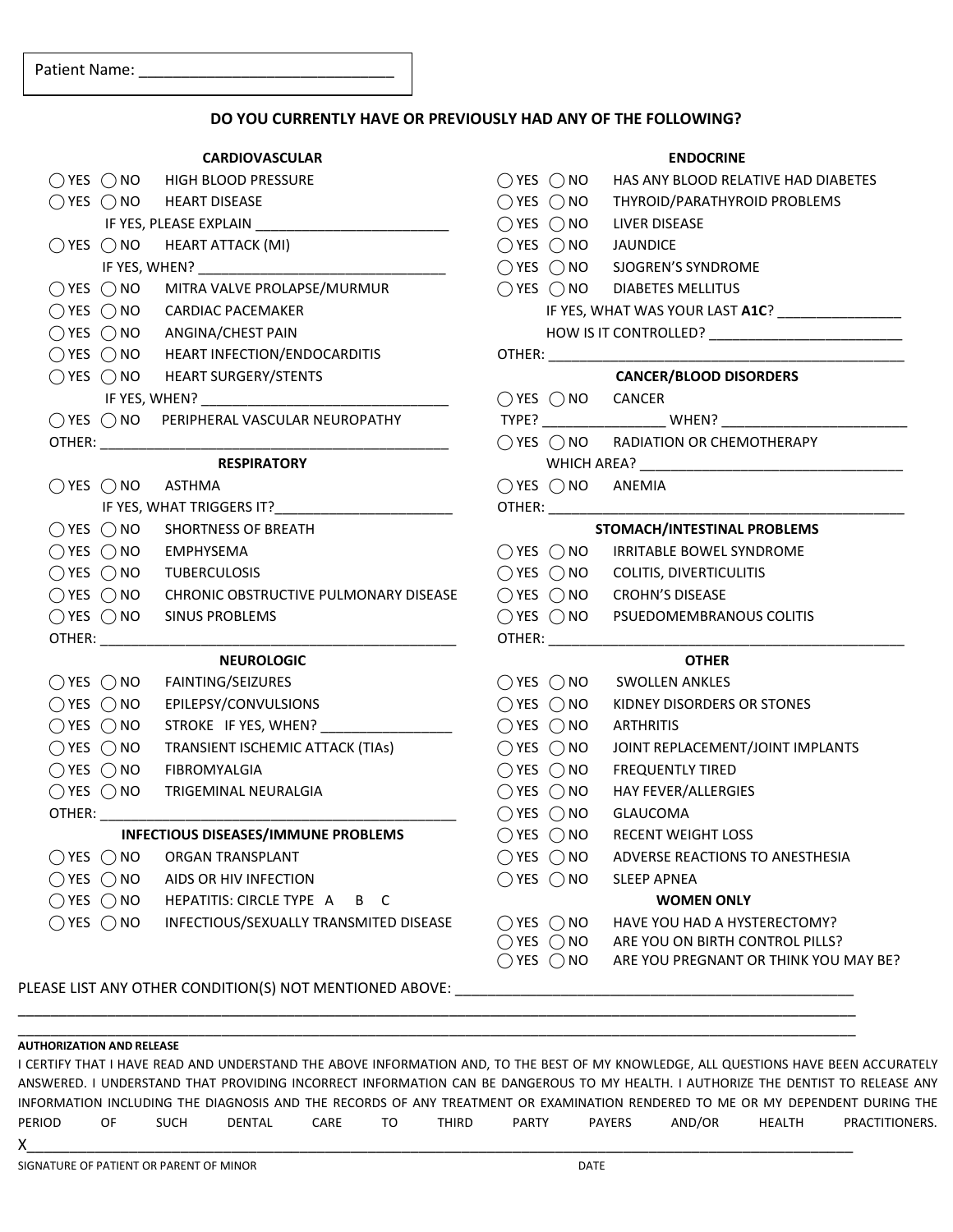### **DO YOU CURRENTLY HAVE OR PREVIOUSLY HAD ANY OF THE FOLLOWING?**

### **CARDIOVASCULAR**  ◯ YES ◯ NO HIGH BLOOD PRESSURE ◯ YES ◯ NO HEART DISEASE IF YES, PLEASE EXPLAIN  $\bigcirc$  YES  $\bigcirc$  NO HEART ATTACK (MI) IF YES, WHEN? ◯ YES ◯ NO MITRA VALVE PROLAPSE/MURMUR ◯ YES ◯ NO CARDIAC PACEMAKER ◯ YES ◯ NO ANGINA/CHEST PAIN ◯ YES ◯ NO HEART INFECTION/ENDOCARDITIS ◯ YES ◯ NO HEART SURGERY/STENTS IF YES, WHEN? ⃝ YES ⃝ NO PERIPHERAL VASCULAR NEUROPATHY  $O$ THER: $\_\_$ **RESPIRATORY**  ◯ YES ◯ NO ASTHMA IF YES, WHAT TRIGGERS IT?  $\bigcap$  YES  $\bigcap$  NO SHORTNESS OF BREATH  $\bigcirc$  YES  $\bigcirc$  NO EMPHYSEMA ◯ YES ◯ NO TUBERCULOSIS ◯ YES ◯ NO CHRONIC OBSTRUCTIVE PULMONARY DISEASE ◯ YES ◯ NO SINUS PROBLEMS  $OTHER:$ **NEUROLOGIC**  ◯ YES ◯ NO FAINTING/SEIZURES ◯ YES ◯ NO EPILEPSY/CONVULSIONS  $\bigcap$  YES  $\bigcap$  NO STROKE IF YES, WHEN? ◯ YES ◯ NO TRANSIENT ISCHEMIC ATTACK (TIAs) ⃝ YES ⃝ NO FIBROMYALGIA ◯ YES ◯ NO TRIGEMINAL NEURALGIA OTHER: **INFECTIOUS DISEASES/IMMUNE PROBLEMS**   $\bigcap$  YES  $\bigcap$  NO ORGAN TRANSPLANT  $\bigcirc$  YES  $\bigcirc$  NO AIDS OR HIV INFECTION ⃝ YES ⃝ NO HEPATITIS: CIRCLE TYPE A B C ◯ YES ◯ NO INFECTIOUS/SEXUALLY TRANSMITED DISEASE

| <b>ENDOCRINE</b> |                              |                                                                  |  |  |
|------------------|------------------------------|------------------------------------------------------------------|--|--|
|                  |                              | $\bigcirc$ YES $\bigcirc$ NO HAS ANY BLOOD RELATIVE HAD DIABETES |  |  |
|                  |                              | ○ YES ○ NO THYROID/PARATHYROID PROBLEMS                          |  |  |
|                  |                              | $\bigcirc$ YES $\bigcirc$ NO LIVER DISEASE                       |  |  |
|                  |                              | ○ YES ○ NO JAUNDICE                                              |  |  |
|                  |                              | ○ YES ○ NO SJOGREN'S SYNDROME                                    |  |  |
|                  |                              | $\bigcirc$ YES $\bigcirc$ NO DIABETES MELLITUS                   |  |  |
|                  |                              | IF YES, WHAT WAS YOUR LAST A1C? ________________                 |  |  |
|                  |                              |                                                                  |  |  |
|                  |                              |                                                                  |  |  |
|                  |                              | <b>CANCER/BLOOD DISORDERS</b>                                    |  |  |
|                  | ○ YES ○ NO CANCER            |                                                                  |  |  |
|                  |                              |                                                                  |  |  |
|                  |                              | $\bigcirc$ YES $\bigcirc$ NO RADIATION OR CHEMOTHERAPY           |  |  |
|                  |                              |                                                                  |  |  |
|                  |                              | $\bigcirc$ YES $\bigcirc$ NO ANEMIA                              |  |  |
|                  |                              |                                                                  |  |  |
|                  |                              | STOMACH/INTESTINAL PROBLEMS                                      |  |  |
|                  |                              | ○ YES ○ NO IRRITABLE BOWEL SYNDROME                              |  |  |
|                  |                              | $\bigcirc$ YES $\bigcirc$ NO COLITIS, DIVERTICULITIS             |  |  |
|                  |                              | ◯ YES ◯ NO CROHN'S DISEASE                                       |  |  |
|                  |                              | $\bigcirc$ YES $\bigcirc$ NO PSUEDOMEMBRANOUS COLITIS            |  |  |
|                  | OTHER: _________             |                                                                  |  |  |
|                  |                              | <b>OTHER</b>                                                     |  |  |
|                  |                              | $\bigcirc$ YES $\bigcirc$ NO SWOLLEN ANKLES                      |  |  |
|                  |                              | $\bigcirc$ YES $\bigcirc$ NO KIDNEY DISORDERS OR STONES          |  |  |
|                  |                              | ○ YES ○ NO ARTHRITIS                                             |  |  |
|                  | $\bigcirc$ YES $\bigcirc$ NO | JOINT REPLACEMENT/JOINT IMPLANTS                                 |  |  |
|                  |                              | $\bigcirc$ YES $\bigcirc$ NO FREQUENTLY TIRED                    |  |  |
|                  |                              | ○ YES ○ NO HAY FEVER/ALLERGIES                                   |  |  |
|                  |                              | ○ YES ○ NO GLAUCOMA                                              |  |  |
|                  |                              | ◯ YES ◯ NO RECENT WEIGHT LOSS                                    |  |  |
|                  | $\bigcirc$ YES $\bigcirc$ NO | ADVERSE REACTIONS TO ANESTHESIA                                  |  |  |
|                  | $\bigcirc$ YES $\bigcirc$ NO | <b>SLEEP APNEA</b>                                               |  |  |
|                  |                              | <b>WOMEN ONLY</b>                                                |  |  |
|                  | $\bigcirc$ YES $\bigcirc$ NO | HAVE YOU HAD A HYSTERECTOMY?                                     |  |  |
|                  | $\bigcirc$ YES $\bigcirc$ NO | ARE YOU ON BIRTH CONTROL PILLS?                                  |  |  |
|                  | ) YES $\bigcap$ NO           | ARE YOU PREGNANT OR THINK YOU MAY BE?                            |  |  |
|                  |                              |                                                                  |  |  |

PLEASE LIST ANY OTHER CONDITION(S) NOT MENTIONED ABOVE:

#### **AUTHORIZATION AND RELEASE**

I CERTIFY THAT I HAVE READ AND UNDERSTAND THE ABOVE INFORMATION AND, TO THE BEST OF MY KNOWLEDGE, ALL QUESTIONS HAVE BEEN ACCURATELY ANSWERED. I UNDERSTAND THAT PROVIDING INCORRECT INFORMATION CAN BE DANGEROUS TO MY HEALTH. I AUTHORIZE THE DENTIST TO RELEASE ANY INFORMATION INCLUDING THE DIAGNOSIS AND THE RECORDS OF ANY TREATMENT OR EXAMINATION RENDERED TO ME OR MY DEPENDENT DURING THE PERIOD OF SUCH DENTAL CARE TO THIRD PARTY PAYERS AND/OR HEALTH PRACTITIONERS.  ${\sf X}$  , and the contract of the contract of the contract of the contract of the contract of the contract of the contract of  ${\sf X}$ 

 $\_$  ,  $\_$  ,  $\_$  ,  $\_$  ,  $\_$  ,  $\_$  ,  $\_$  ,  $\_$  ,  $\_$  ,  $\_$  ,  $\_$  ,  $\_$  ,  $\_$  ,  $\_$  ,  $\_$  ,  $\_$  ,  $\_$  ,  $\_$  ,  $\_$  ,  $\_$  ,  $\_$  ,  $\_$  ,  $\_$  ,  $\_$  ,  $\_$  ,  $\_$  ,  $\_$  ,  $\_$  ,  $\_$  ,  $\_$  ,  $\_$  ,  $\_$  ,  $\_$  ,  $\_$  ,  $\_$  ,  $\_$  ,  $\_$  , \_\_\_\_\_\_\_\_\_\_\_\_\_\_\_\_\_\_\_\_\_\_\_\_\_\_\_\_\_\_\_\_\_\_\_\_\_\_\_\_\_\_\_\_\_\_\_\_\_\_\_\_\_\_\_\_\_\_\_\_\_\_\_\_\_\_\_\_\_\_\_\_\_\_\_\_\_\_\_\_\_\_\_\_\_\_\_\_\_\_\_\_\_\_\_\_\_\_\_\_\_\_\_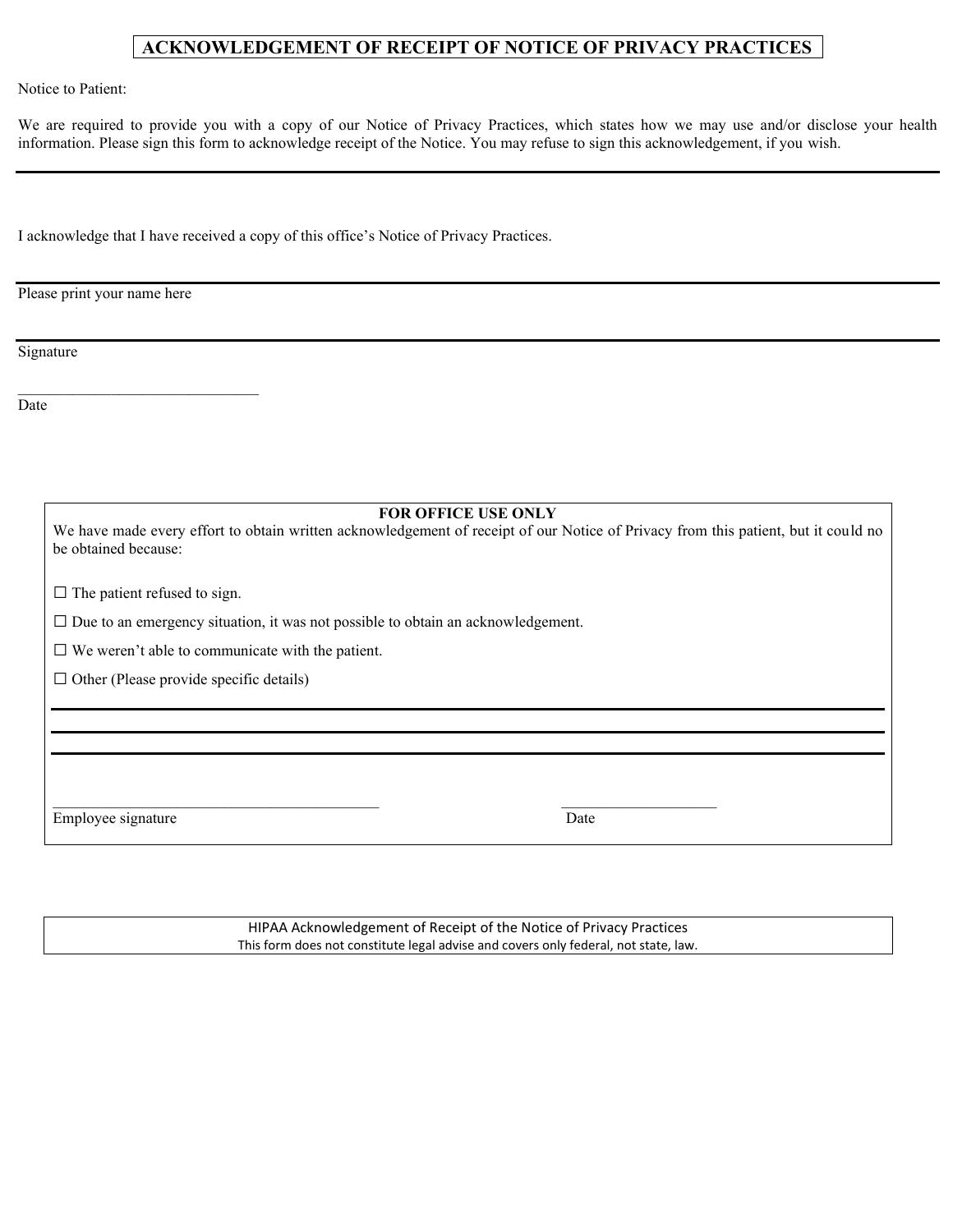### **ACKNOWLEDGEMENT OF RECEIPT OF NOTICE OF PRIVACY PRACTICES**

Notice to Patient:

We are required to provide you with a copy of our Notice of Privacy Practices, which states how we may use and/or disclose your health information. Please sign this form to acknowledge receipt of the Notice. You may refuse to sign this acknowledgement, if you wish.

I acknowledge that I have received a copy of this office's Notice of Privacy Practices.

Please print your name here

Signature

Date

**FOR OFFICE USE ONLY** 

We have made every effort to obtain written acknowledgement of receipt of our Notice of Privacy from this patient, but it could no be obtained because:

 $\square$  The patient refused to sign.

\_\_\_\_\_\_\_\_\_\_\_\_\_\_\_\_\_\_\_\_\_\_\_\_\_\_\_\_\_\_\_

□ Due to an emergency situation, it was not possible to obtain an acknowledgement.

 $\square$  We weren't able to communicate with the patient.

 $\square$  Other (Please provide specific details)

Employee signature Date

HIPAA Acknowledgement of Receipt of the Notice of Privacy Practices This form does not constitute legal advise and covers only federal, not state, law.

 $\Box$  . The contribution of the contribution of  $\Box$  . The contribution of  $\Box$  . The contribution of  $\Box$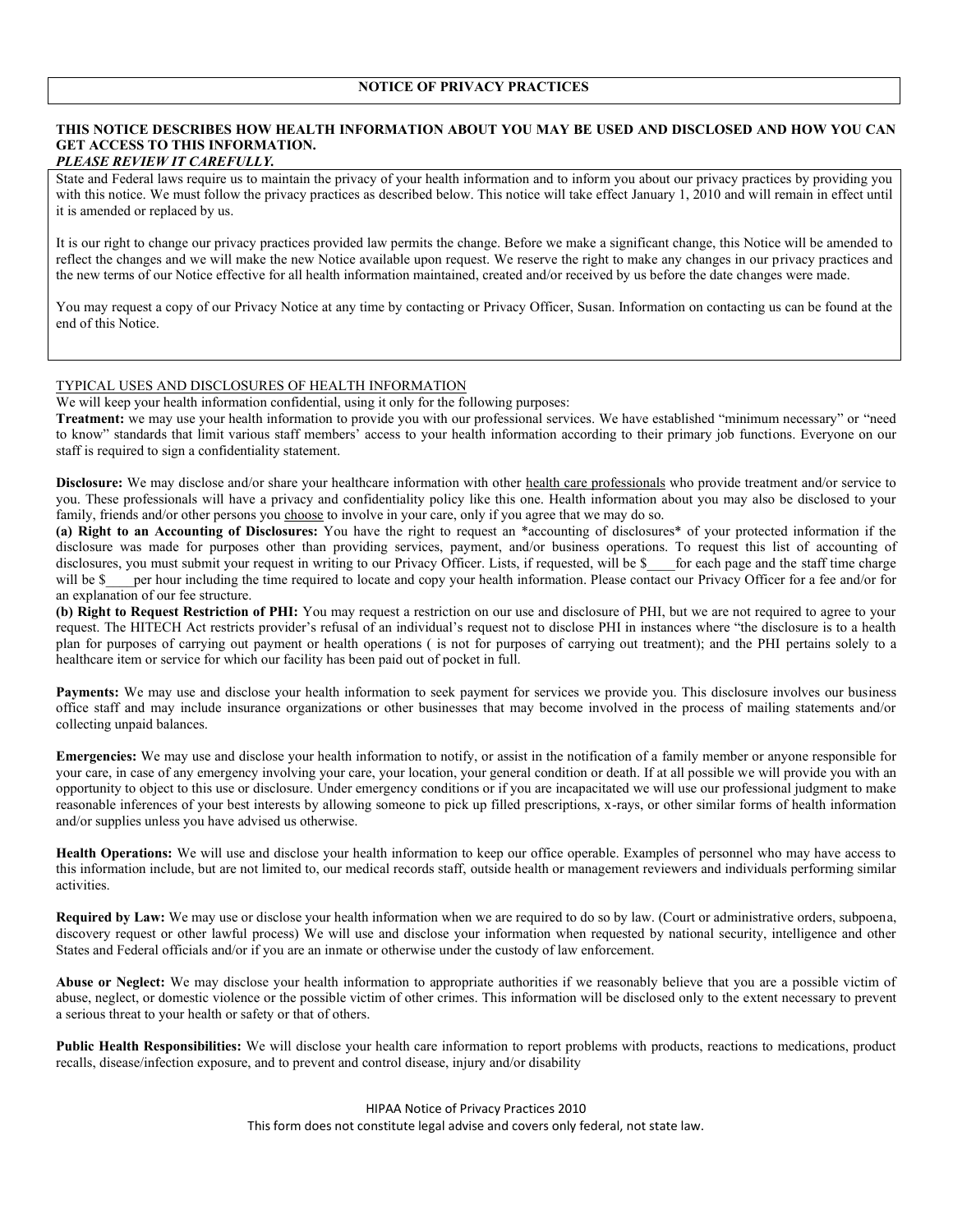#### **THIS NOTICE DESCRIBES HOW HEALTH INFORMATION ABOUT YOU MAY BE USED AND DISCLOSED AND HOW YOU CAN GET ACCESS TO THIS INFORMATION.**  *PLEASE REVIEW IT CAREFULLY.*

State and Federal laws require us to maintain the privacy of your health information and to inform you about our privacy practices by providing you with this notice. We must follow the privacy practices as described below. This notice will take effect January 1, 2010 and will remain in effect until it is amended or replaced by us.

It is our right to change our privacy practices provided law permits the change. Before we make a significant change, this Notice will be amended to reflect the changes and we will make the new Notice available upon request. We reserve the right to make any changes in our privacy practices and the new terms of our Notice effective for all health information maintained, created and/or received by us before the date changes were made.

You may request a copy of our Privacy Notice at any time by contacting or Privacy Officer, Susan. Information on contacting us can be found at the end of this Notice.

### TYPICAL USES AND DISCLOSURES OF HEALTH INFORMATION

We will keep your health information confidential, using it only for the following purposes:

**Treatment:** we may use your health information to provide you with our professional services. We have established "minimum necessary" or "need to know" standards that limit various staff members' access to your health information according to their primary job functions. Everyone on our staff is required to sign a confidentiality statement.

**Disclosure:** We may disclose and/or share your healthcare information with other health care professionals who provide treatment and/or service to you. These professionals will have a privacy and confidentiality policy like this one. Health information about you may also be disclosed to your family, friends and/or other persons you choose to involve in your care, only if you agree that we may do so.

**(a) Right to an Accounting of Disclosures:** You have the right to request an \*accounting of disclosures\* of your protected information if the disclosure was made for purposes other than providing services, payment, and/or business operations. To request this list of accounting of disclosures, you must submit your request in writing to our Privacy Officer. Lists, if requested, will be \$ \_\_\_ for each page and the staff time charge will be \$\_\_\_ per hour including the time required to locate and copy your health information. Please contact our Privacy Officer for a fee and/or for an explanation of our fee structure.

**(b) Right to Request Restriction of PHI:** You may request a restriction on our use and disclosure of PHI, but we are not required to agree to your request. The HITECH Act restricts provider's refusal of an individual's request not to disclose PHI in instances where "the disclosure is to a health plan for purposes of carrying out payment or health operations ( is not for purposes of carrying out treatment); and the PHI pertains solely to a healthcare item or service for which our facility has been paid out of pocket in full.

Payments: We may use and disclose your health information to seek payment for services we provide you. This disclosure involves our business office staff and may include insurance organizations or other businesses that may become involved in the process of mailing statements and/or collecting unpaid balances.

**Emergencies:** We may use and disclose your health information to notify, or assist in the notification of a family member or anyone responsible for your care, in case of any emergency involving your care, your location, your general condition or death. If at all possible we will provide you with an opportunity to object to this use or disclosure. Under emergency conditions or if you are incapacitated we will use our professional judgment to make reasonable inferences of your best interests by allowing someone to pick up filled prescriptions, x-rays, or other similar forms of health information and/or supplies unless you have advised us otherwise.

**Health Operations:** We will use and disclose your health information to keep our office operable. Examples of personnel who may have access to this information include, but are not limited to, our medical records staff, outside health or management reviewers and individuals performing similar activities.

**Required by Law:** We may use or disclose your health information when we are required to do so by law. (Court or administrative orders, subpoena, discovery request or other lawful process) We will use and disclose your information when requested by national security, intelligence and other States and Federal officials and/or if you are an inmate or otherwise under the custody of law enforcement.

Abuse or Neglect: We may disclose your health information to appropriate authorities if we reasonably believe that you are a possible victim of abuse, neglect, or domestic violence or the possible victim of other crimes. This information will be disclosed only to the extent necessary to prevent a serious threat to your health or safety or that of others.

**Public Health Responsibilities:** We will disclose your health care information to report problems with products, reactions to medications, product recalls, disease/infection exposure, and to prevent and control disease, injury and/or disability

> HIPAA Notice of Privacy Practices 2010 This form does not constitute legal advise and covers only federal, not state law.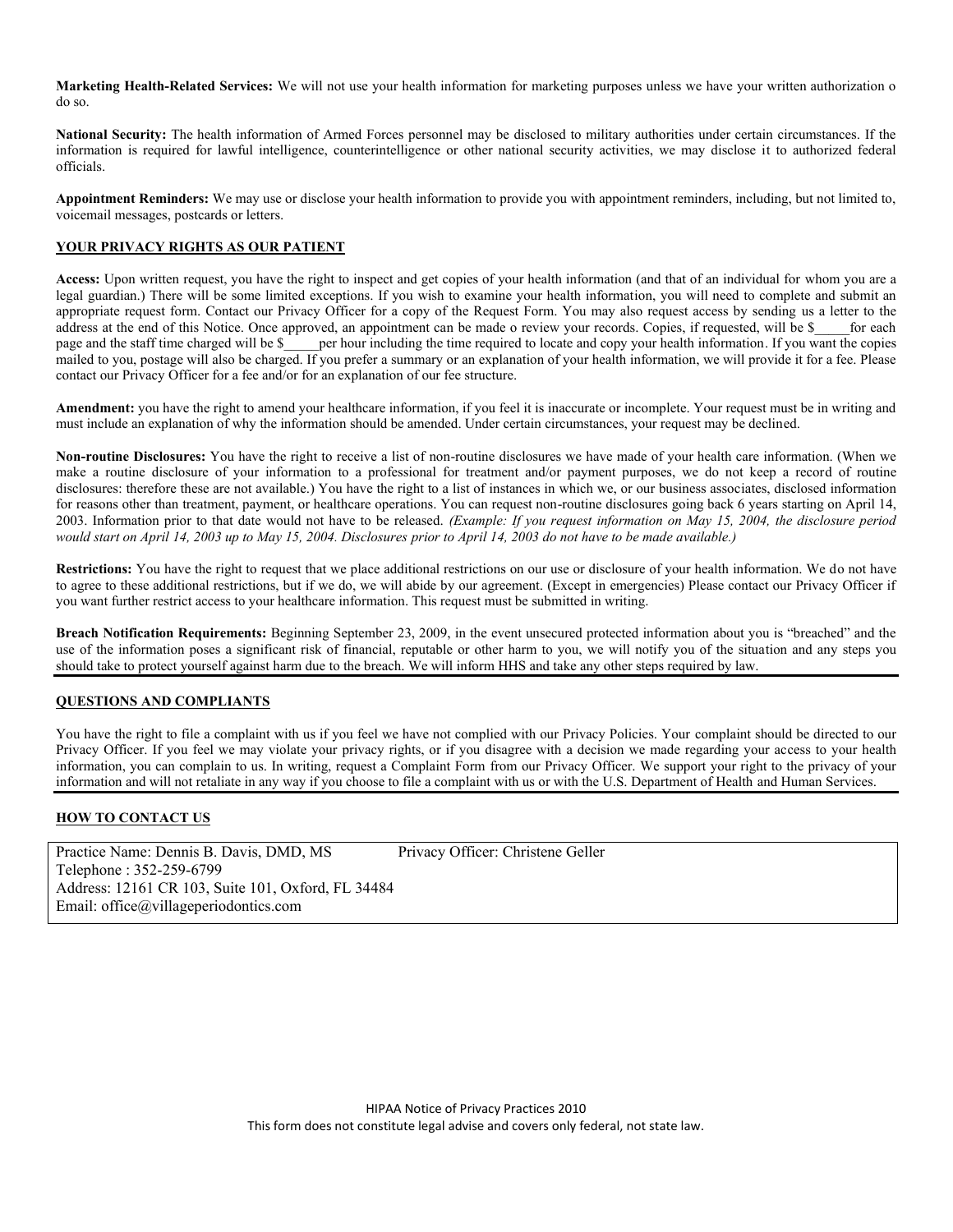**Marketing Health-Related Services:** We will not use your health information for marketing purposes unless we have your written authorization o do so.

**National Security:** The health information of Armed Forces personnel may be disclosed to military authorities under certain circumstances. If the information is required for lawful intelligence, counterintelligence or other national security activities, we may disclose it to authorized federal officials.

**Appointment Reminders:** We may use or disclose your health information to provide you with appointment reminders, including, but not limited to, voicemail messages, postcards or letters.

#### **YOUR PRIVACY RIGHTS AS OUR PATIENT**

**Access:** Upon written request, you have the right to inspect and get copies of your health information (and that of an individual for whom you are a legal guardian.) There will be some limited exceptions. If you wish to examine your health information, you will need to complete and submit an appropriate request form. Contact our Privacy Officer for a copy of the Request Form. You may also request access by sending us a letter to the address at the end of this Notice. Once approved, an appointment can be made o review your records. Copies, if requested, will be \$\_\_\_\_\_for each page and the staff time charged will be \$\_\_\_\_ per hour including the time req per hour including the time required to locate and copy your health information. If you want the copies mailed to you, postage will also be charged. If you prefer a summary or an explanation of your health information, we will provide it for a fee. Please contact our Privacy Officer for a fee and/or for an explanation of our fee structure.

**Amendment:** you have the right to amend your healthcare information, if you feel it is inaccurate or incomplete. Your request must be in writing and must include an explanation of why the information should be amended. Under certain circumstances, your request may be declined.

**Non-routine Disclosures:** You have the right to receive a list of non-routine disclosures we have made of your health care information. (When we make a routine disclosure of your information to a professional for treatment and/or payment purposes, we do not keep a record of routine disclosures: therefore these are not available.) You have the right to a list of instances in which we, or our business associates, disclosed information for reasons other than treatment, payment, or healthcare operations. You can request non-routine disclosures going back 6 years starting on April 14, 2003. Information prior to that date would not have to be released. *(Example: If you request information on May 15, 2004, the disclosure period would start on April 14, 2003 up to May 15, 2004. Disclosures prior to April 14, 2003 do not have to be made available.)* 

**Restrictions:** You have the right to request that we place additional restrictions on our use or disclosure of your health information. We do not have to agree to these additional restrictions, but if we do, we will abide by our agreement. (Except in emergencies) Please contact our Privacy Officer if you want further restrict access to your healthcare information. This request must be submitted in writing.

**Breach Notification Requirements:** Beginning September 23, 2009, in the event unsecured protected information about you is "breached" and the use of the information poses a significant risk of financial, reputable or other harm to you, we will notify you of the situation and any steps you should take to protect yourself against harm due to the breach. We will inform HHS and take any other steps required by law.

### **QUESTIONS AND COMPLIANTS**

You have the right to file a complaint with us if you feel we have not complied with our Privacy Policies. Your complaint should be directed to our Privacy Officer. If you feel we may violate your privacy rights, or if you disagree with a decision we made regarding your access to your health information, you can complain to us. In writing, request a Complaint Form from our Privacy Officer. We support your right to the privacy of your information and will not retaliate in any way if you choose to file a complaint with us or with the U.S. Department of Health and Human Services.

### **HOW TO CONTACT US**

Practice Name: Dennis B. Davis, DMD, MS Privacy Officer: Christene Geller Telephone : 352-259-6799 Address: 12161 CR 103, Suite 101, Oxford, FL 34484 Email: office@villageperiodontics.com

> HIPAA Notice of Privacy Practices 2010 This form does not constitute legal advise and covers only federal, not state law.